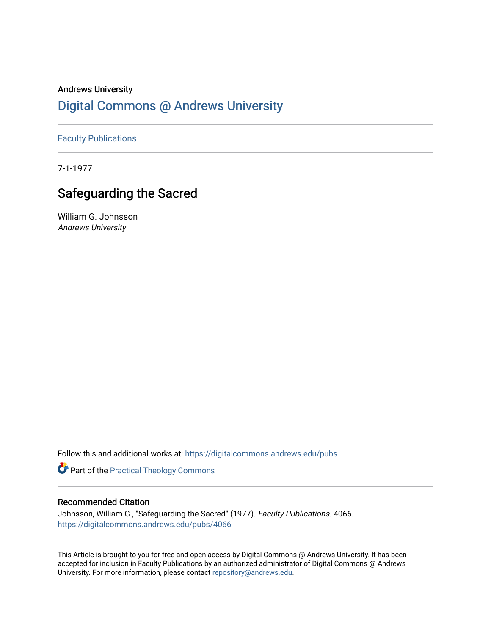## Andrews University [Digital Commons @ Andrews University](https://digitalcommons.andrews.edu/)

[Faculty Publications](https://digitalcommons.andrews.edu/pubs)

7-1-1977

# Safeguarding the Sacred

William G. Johnsson Andrews University

Follow this and additional works at: [https://digitalcommons.andrews.edu/pubs](https://digitalcommons.andrews.edu/pubs?utm_source=digitalcommons.andrews.edu%2Fpubs%2F4066&utm_medium=PDF&utm_campaign=PDFCoverPages) 

Part of the [Practical Theology Commons](http://network.bepress.com/hgg/discipline/1186?utm_source=digitalcommons.andrews.edu%2Fpubs%2F4066&utm_medium=PDF&utm_campaign=PDFCoverPages)

## Recommended Citation

Johnsson, William G., "Safeguarding the Sacred" (1977). Faculty Publications. 4066. [https://digitalcommons.andrews.edu/pubs/4066](https://digitalcommons.andrews.edu/pubs/4066?utm_source=digitalcommons.andrews.edu%2Fpubs%2F4066&utm_medium=PDF&utm_campaign=PDFCoverPages) 

This Article is brought to you for free and open access by Digital Commons @ Andrews University. It has been accepted for inclusion in Faculty Publications by an authorized administrator of Digital Commons @ Andrews University. For more information, please contact [repository@andrews.edu](mailto:repository@andrews.edu).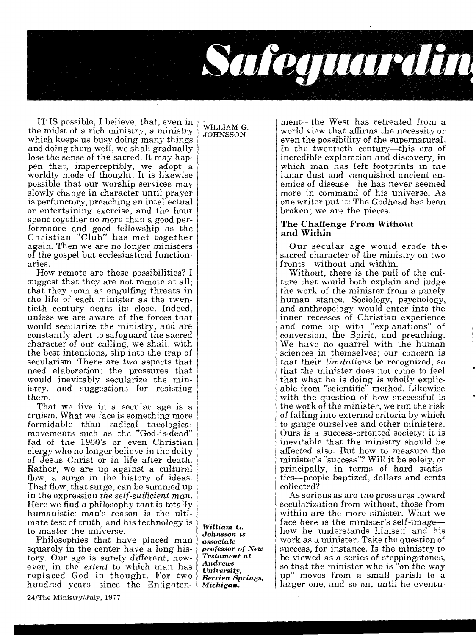

WILLIAM G. **JOHNSSON** 

IT IS possible, I believe, that, even in the midst of a rich ministry, a ministry which keeps us busy doing many things and doing them well, we shall gradually lose the sense of the sacred. It may happen that, imperceptibly, we adopt a worldly mode of thought. It is likewise possible that our worship services may slowly change in character until prayer is perfunctory, preaching an intellectual or entertaining exercise, and the hour spent together no more than a good performance and good fellowship as the Christian "Club" has met together again. Then we are no longer ministers of the gospel but ecclesiastical functionaries.

How remote are these possibilities? I suggest that they are not remote at all; that they loom as engulfing threats in the life of each minister as the twentieth century nears its close. Indeed, unless we are aware of the forces that would secularize the ministry, and are constantly alert to safeguard the sacred character of our calling, we shall, with the best intentions, slip into the trap of secularism. There are two aspects that need elaboration: the pressures that would inevitably secularize the ministry, and suggestions for resisting them.

That we live in a secular age is a truism. What we face is something more formidable than radical theological movements such as the "God-is-dead" fad of the 1960's or even Christian clergy who no longer believe in the deity of Jesus Christ or in life after death. Rather, we are up against a cultural flow, a surge in the history of ideas. That flow, that surge, can be summed up in the expression *the self-sufficient* man. Here we find a philosophy that is totally humanistic: man's reason is the ultimate test of truth, and his technology is to master the universe.

Philosophies that have placed man squarely in the center have a long history. Our age is surely different, however, in the *extent* to which man has replaced God in thought. For two hundred years—since the Enlighten-*Michigan.* 

24/The Ministry/July, 1977

*William G. Johnsson is associate professor of New Testament at Andrews University, Berrien Springs,* 

ment—the West has retreated from a world view that affirms the necessity or even the possibility of the supernatural. In the twentieth century—this era of incredible exploration and discovery, in which man has left footprints in the lunar dust and vanquished ancient enemies of disease—he has never seemed more in command of his universe. As one writer put it: The Godhead has been broken; we are the pieces.

#### **The Challenge From Without and Within**

Our secular age would erode the. sacred character of the ministry on two fronts—without and within.

Without, there is the pull of the culture that would both explain and judge the work of the minister from a purely human stance. Sociology, psychology, and anthropology would enter into the inner recesses of Christian experience and come up with "explanations" of conversion, the Spirit, and preaching. We have no quarrel with the human sciences in themselves; our concern is that their *limitations* be recognized, so that the minister does not come to feel that what he is doing is wholly explicable from "scientific" method. Likewise with the question of how successful is the work of the minister, we run the risk of falling into external criteria by which to gauge ourselves and other ministers. Ours is a success-oriented society; it is inevitable that the ministry should be affected also. But how to measure the minister's "success"? Will it be solely, or principally, in terms of hard statistics—people baptized, dollars and cents collected?

As serious as are the pressures toward secularization from without, those from within are the more sinister. What we face here is the minister's self -image how he understands himself and his work as a minister. Take the question of success, for instance. Is the ministry to be viewed as a series of steppingstones, so that the minister who is "on the way up" moves from a small parish to a larger one, and so on, until he eventu-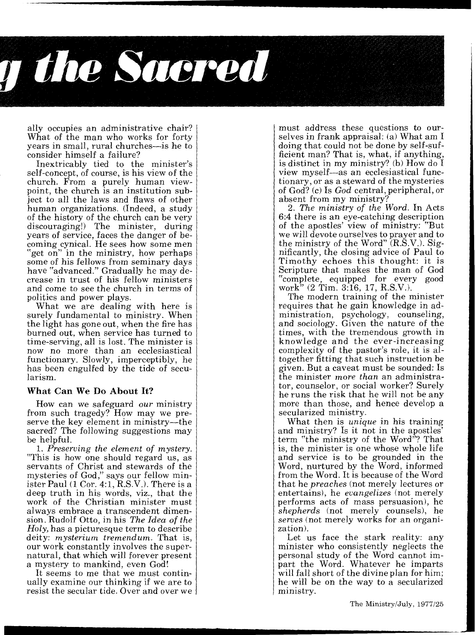

ally occupies an administrative chair? What of the man who works for forty years in small, rural churches—is he to consider himself a failure?

Inextricably tied to the minister's self-concept, of course, is his view of the church. From a purely human viewpoint, the church is an institution subject to all the laws and flaws of other human organizations. (Indeed, a study of the history of the church can be very discouraging!) The minister, during years of service, faces the danger of becoming cynical. He sees how some men 'get on" in the ministry, how perhaps some of his fellows from seminary days have "advanced." Gradually he may decrease in trust of his fellow ministers and come to see the church in terms of politics and power plays.

What we are dealing with here is surely fundamental to ministry. When the light has gone out, when the fire has burned out, when service has turned to time-serving, all is lost. The minister is now no more than an ecclesiastical functionary. Slowly, imperceptibly, he has been engulfed by the tide of secularism.

### **What Can We Do About It?**

How can we safeguard *our* ministry from such tragedy? How may we preserve the key element in ministry—the sacred? The following suggestions may be helpful.

1. *Preserving the element* of *mystery.*  "This is how one should regard us, as servants of Christ and stewards of the mysteries of God," says our fellow minister Paul (1 Cor. 4:1, R.S.V.). There is a deep truth in his words, viz., that the work of the Christian minister must always embrace a transcendent dimension. Rudolf Otto, in his *The Idea of the Holy,* has a picturesque term to describe deity: *mysterium tremendum.* That is, our work constantly involves the supernatural, that which will forever present a mystery to mankind, even God!

It seems to me that we must continually examine our thinking if we are to resist the secular tide. Over and over we must address these questions to ourselves in frank appraisal: (a) What am I doing that could not be done by self-sufficient man? That is, what, if anything, is distinct in my ministry? (b) How do I view myself—as an ecclesiastical functionary, or as a steward of the mysteries of God? (c) Is *God* central, peripheral, or absent from my ministry?

2. *The ministry of the* Word. In Acts 6:4 there is an eye-catching description of the apostles' view of ministry: "But we will devote ourselves to prayer and to the ministry of the Word" (R.S.V.). Significantly, the closing advice of Paul to Timothy echoes this thought: it is Scripture that makes the man of God "complete, equipped for every good work" (2 Tim. 3:16, 17, R.S.V.).

The modern training of the minister requires that he gain knowledge in administration, psychology, counseling, and sociology. Given the nature of the times, with the tremendous growth in knowledge and the ever-increasing complexity of the pastor's role, it is altogether fitting that such instruction be given. But a caveat must be sounded: Is the minister more *than* an administrator, counselor, or social worker? Surely he runs the risk that he will not be any more than those, and hence develop a secularized ministry.

What then is *unique* in his training and ministry? Is it not in the apostles' term "the ministry of the Word"? That is, the minister is one whose whole life and service is to be grounded in the Word, nurtured by the Word, informed from the Word. It is because of the Word that he *preaches* (not merely lectures or entertains), he *evangelizes* (not merely performs acts of mass persuasion), he *shepherds* (not merely counsels), he *serves* (not merely works for an organization).

Let us face the stark reality: any minister who consistently neglects the personal study of the Word cannot impart the Word. Whatever he imparts will fall short of the divine plan for him; he will be on the way to a secularized ministry.